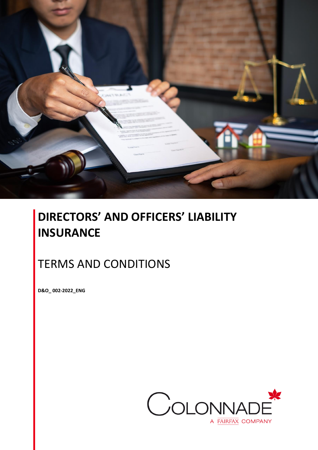

# **DIRECTORS' AND OFFICERS' LIABILITY INSURANCE**

# TERMS AND CONDITIONS

**D&O\_ 002-2022\_ENG**

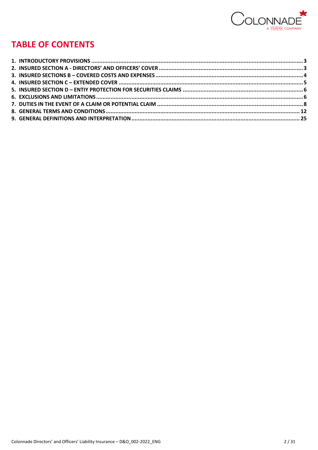

# **TABLE OF CONTENTS**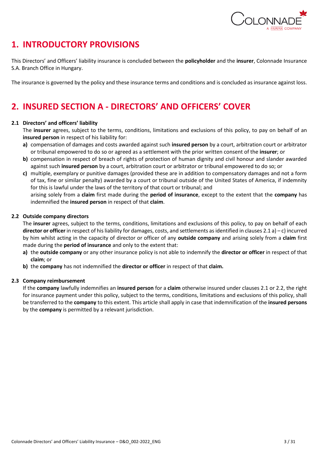

# <span id="page-2-0"></span>**1. INTRODUCTORY PROVISIONS**

This Directors' and Officers' liability insurance is concluded between the **policyholder** and the **insurer**, Colonnade Insurance S.A. Branch Office in Hungary.

The insurance is governed by the policy and these insurance terms and conditions and is concluded as insurance against loss.

# <span id="page-2-1"></span>**2. INSURED SECTION A - DIRECTORS' AND OFFICERS' COVER**

# **2.1 Directors' and officers' liability**

The **insurer** agrees, subject to the terms, conditions, limitations and exclusions of this policy, to pay on behalf of an **insured person** in respect of his liability for:

- **a)** compensation of damages and costs awarded against such **insured person** by a court, arbitration court or arbitrator or tribunal empowered to do so or agreed as a settlement with the prior written consent of the **insurer**; or
- **b)** compensation in respect of breach of rights of protection of human dignity and civil honour and slander awarded against such **insured person** by a court, arbitration court or arbitrator or tribunal empowered to do so; or
- **c)** multiple, exemplary or punitive damages (provided these are in addition to compensatory damages and not a form of tax, fine or similar penalty) awarded by a court or tribunal outside of the United States of America, if indemnity for this is lawful under the laws of the territory of that court or tribunal; and

arising solely from a **claim** first made during the **period of insurance**, except to the extent that the **company** has indemnified the **insured person** in respect of that **claim**.

# **2.2 Outside company directors**

The **insurer** agrees, subject to the terms, conditions, limitations and exclusions of this policy, to pay on behalf of each **director or officer** in respect of his liability for damages, costs, and settlements as identified in clauses 2.1 a) – c) incurred by him whilst acting in the capacity of director or officer of any **outside company** and arising solely from a **claim** first made during the **period of insurance** and only to the extent that:

- **a)** the **outside company** or any other insurance policy is not able to indemnify the **director or officer** in respect of that **claim**; or
- **b)** the **company** has not indemnified the **director or officer** in respect of that **claim.**

# **2.3 Company reimbursement**

If the **company** lawfully indemnifies an **insured person** for a **claim** otherwise insured under clauses 2.1 or 2.2, the right for insurance payment under this policy, subject to the terms, conditions, limitations and exclusions of this policy, shall be transferred to the **company** to this extent. This article shall apply in case that indemnification of the **insured persons** by the **company** is permitted by a relevant jurisdiction.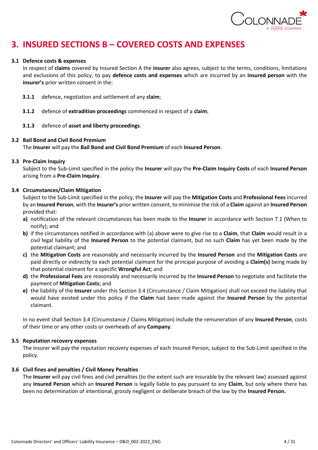

# <span id="page-3-0"></span>**3. INSURED SECTIONS B – COVERED COSTS AND EXPENSES**

### **3.1 Defence costs & expenses**

In respect of **claims** covered by Insured Section A the **insurer** also agrees, subject to the terms, conditions, limitations and exclusions of this policy, to pay **defence costs and expenses** which are incurred by an **insured person** with the **insurer's** prior written consent in the:

- **3.1.1** defence, negotiation and settlement of any **claim**;
- **3.1.2** defence of **extradition proceedings** commenced in respect of a **claim**;
- **3.1.3** defence of **asset and liberty proceedings**.

#### **3.2 Bail Bond and Civil Bond Premium**

The **Insurer** will pay the **Bail Bond and Civil Bond Premium** of each **Insured Person**.

#### **3.3 Pre-Claim Inquiry**

Subject to the Sub-Limit specified in the policy the **Insurer** will pay the **Pre-Claim Inquiry Costs** of each **Insured Person**  arising from a **Pre-Claim Inquiry**.

### **3.4 Circumstances/Claim Mitigation**

Subject to the Sub-Limit specified in the policy, the **Insurer** will pay the **Mitigation Costs** and **Professional Fees** incurred by an **Insured Person**, with the **Insurer's** prior written consent, to minimise the risk of a **Claim** against an **Insured Person**  provided that:

- **a)** notification of the relevant circumstances has been made to the **Insurer** in accordance with Section 7.1 (When to notify); and
- **b)** if the circumstances notified in accordance with (a) above were to give rise to a **Claim**, that **Claim** would result in a civil legal liability of the **Insured Person** to the potential claimant, but no such **Claim** has yet been made by the potential claimant; and
- **c)** the **Mitigation Costs** are reasonably and necessarily incurred by the **Insured Person** and the **Mitigation Costs** are paid directly or indirectly to each potential claimant for the principal purpose of avoiding a **Claim(s)** being made by that potential claimant for a specific **Wrongful Act**; and
- **d)** the **Professional Fees** are reasonably and necessarily incurred by the **Insured Person** to negotiate and facilitate the payment of **Mitigation Costs**; and
- **e)** the liability of the **Insurer** under this Section 3.4 (Circumstance / Claim Mitigation) shall not exceed the liability that would have existed under this policy if the **Claim** had been made against the **Insured Person** by the potential claimant.

In no event shall Section 3.4 (Circumstance / Claims Mitigation) include the remuneration of any **Insured Person**, costs of their time or any other costs or overheads of any **Company**.

### **3.5 Reputation recovery expenses**

The insurer will pay the reputation recovery expenses of each Insured Person, subject to the Sub-Limit specified in the policy.

### **3.6 Civil fines and penalties / Civil Money Penalties**

The **Insurer** will pay civil fines and civil penalties (to the extent such are insurable by the relevant law) assessed against any **Insured Person** which an **Insured Person** is legally liable to pay pursuant to any **Claim**, but only where there has been no determination of intentional, grossly negligent or deliberate breach of the law by the **Insured Person.**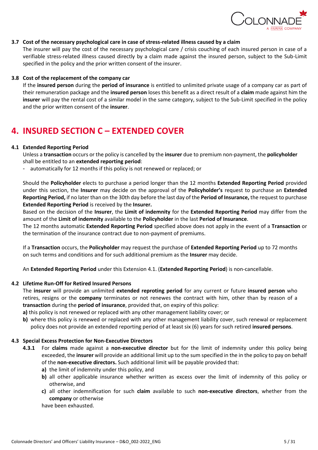

# **3.7 Cost of the necessary psychological care in case of stress-related illness caused by a claim**

The insurer will pay the cost of the necessary psychological care / crisis couching of each insured person in case of a verifiable stress-related illness caused directly by a claim made against the insured person, subject to the Sub-Limit specified in the policy and the prior written consent of the insurer.

# **3.8 Cost of the replacement of the company car**

If the **insured person** during the **period of insurance** is entitled to unlimited private usage of a company car as part of their remuneration package and the **insured person** loses this benefit as a direct result of a **claim** made against him the **insurer** will pay the rental cost of a similar model in the same category, subject to the Sub-Limit specified in the policy and the prior written consent of the **insurer**.

# <span id="page-4-0"></span>**4. INSURED SECTION C – EXTENDED COVER**

# **4.1 Extended Reporting Period**

Unless a **transaction** occurs or the policy is cancelled by the **insurer** due to premium non-payment, the **policyholder**  shall be entitled to an **extended reporting period**:

- automatically for 12 months if this policy is not renewed or replaced; or

Should the **Policyholder** elects to purchase a period longer than the 12 months **Extended Reporting Period** provided under this section, the **Insurer** may decide on the approval of the **Policyholder's** request to purchase an **Extended Reporting Period,** if no later than on the 30th day before the last day of the **Period of Insurance,** the request to purchase **Extended Reporting Period** is received by the **Insurer.**

Based on the decision of the **Insurer**, the **Limit of indemnity** for the **Extended Reporting Period** may differ from the amount of the **Limit of indemnity** available to the **Policyholder** in the last **Period of Insurance**.

The 12 months automatic **Extended Reporting Period** specified above does not apply in the event of a **Transaction** or the termination of the insurance contract due to non-payment of premiums.

If a **Transaction** occurs, the **Policyholder** may request the purchase of **Extended Reporting Period** up to 72 months on such terms and conditions and for such additional premium as the **Insurer** may decide.

An **Extended Reporting Period** under this Extension 4.1. (**Extended Reporting Period**) is non-cancellable.

### **4.2 Lifetime Run-Off for Retired Insured Persons**

The **insurer** will provide an unlimited **extended reproting period** for any current or future **insured person** who retires, resigns or the **company** terminates or not renewes the contract with him, other than by reason of a **transaction** during the **period of insurance**, provided that, on expiry of this policy:

**a)** this policy is not renewed or replaced with any other management liability cover; or

**b)** where this policy is renewed or replaced with any other management liability cover, such renewal or replacement policy does not provide an extended reporting period of at least six (6) years for such retired **insured persons**.

### **4.3 Special Excess Protection for Non-Executive Directors**

- **4.3.1** For **claims** made against a **non-executive director** but for the limit of indemnity under this policy being exceeded, the **insurer** will provide an additional limit up to the sum specified in the in the policy to pay on behalf of the **non-executive directors.** Such additional limit will be payable provided that:
	- **a)** the limit of indemnity under this policy, and
	- **b)** all other applicable insurance whether written as excess over the limit of indemnity of this policy or otherwise, and
	- **c)** all other indemnification for such **claim** available to such **non-executive directors**, whether from the **company** or otherwise

have been exhausted.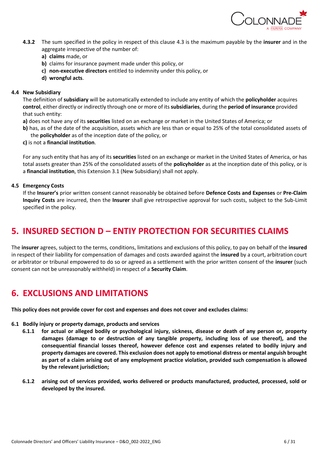

- **4.3.2** The sum specified in the policy in respect of this clause 4.3 is the maximum payable by the **insurer** and in the aggregate irrespective of the number of:
	- **a) claims** made, or
	- **b)** claims for insurance payment made under this policy, or
	- **c) non-executive directors** entitled to indemnity under this policy, or
	- **d) wrongful acts**.

#### **4.4 New Subsidiary**

The definition of **subsidiary** will be automatically extended to include any entity of which the **policyholder** acquires **control**, either directly or indirectly through one or more of its **subsidiaries**, during the **period of insurance** provided that such entity:

- **a)** does not have any of its **securities** listed on an exchange or market in the United States of America; or
- **b)** has, as of the date of the acquisition, assets which are less than or equal to 25% of the total consolidated assets of the **policyholder** as of the inception date of the policy, or
- **c)** is not a **financial institution**.

For any such entity that has any of its **securities** listed on an exchange or market in the United States of America, or has total assets greater than 25% of the consolidated assets of the **policyholder** as at the inception date of this policy, or is a **financial institution**, this Extension 3.1 (New Subsidiary) shall not apply.

### **4.5 Emergency Costs**

If the **Insurer's** prior written consent cannot reasonably be obtained before **Defence Costs and Expenses** or **Pre-Claim Inquiry Costs** are incurred, then the **Insurer** shall give retrospective approval for such costs, subject to the Sub-Limit specified in the policy.

# <span id="page-5-0"></span>**5. INSURED SECTION D – ENTIY PROTECTION FOR SECURITIES CLAIMS**

The **insurer** agrees, subject to the terms, conditions, limitations and exclusions of this policy, to pay on behalf of the **insured** in respect of their liability for compensation of damages and costs awarded against the **insured** by a court, arbitration court or arbitrator or tribunal empowered to do so or agreed as a settlement with the prior written consent of the **insurer** (such consent can not be unreasonably withheld) in respect of a **Security Claim**.

# <span id="page-5-1"></span>**6. EXCLUSIONS AND LIMITATIONS**

**This policy does not provide cover for cost and expenses and does not cover and excludes claims:**

### **6.1 Bodily injury or property damage, products and services**

- **6.1.1 for actual or alleged bodily or psychological injury, sickness, disease or death of any person or, property damages (damage to or destruction of any tangible property, including loss of use thereof), and the consequential financial losses thereof, however defence cost and expenses related to bodily injury and property damages are covered. This exclusion does not apply to emotional distress or mental anguish brought as part of a claim arising out of any employment practice violation, provided such compensation is allowed by the relevant jurisdiction;**
- **6.1.2 arising out of services provided, works delivered or products manufactured, producted, processed, sold or developed by the insured.**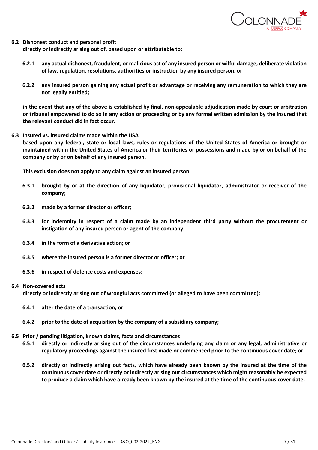

#### **6.2 Dishonest conduct and personal profit**

**directly or indirectly arising out of, based upon or attributable to:**

- **6.2.1 any actual dishonest, fraudulent, or malicious act of any insured person or wilful damage, deliberate violation of law, regulation, resolutions, authorities or instruction by any insured person, or**
- **6.2.2 any insured person gaining any actual profit or advantage or receiving any remuneration to which they are not legally entitled;**

**in the event that any of the above is established by final, non-appealable adjudication made by court or arbitration or tribunal empowered to do so in any action or proceeding or by any formal written admission by the insured that the relevant conduct did in fact occur.**

**6.3 Insured vs. insured claims made within the USA based upon any federal, state or local laws, rules or regulations of the United States of America or brought or maintained within the United States of America or their territories or possessions and made by or on behalf of the company or by or on behalf of any insured person.**

**This exclusion does not apply to any claim against an insured person:**

- **6.3.1 brought by or at the direction of any liquidator, provisional liquidator, administrator or receiver of the company;**
- **6.3.2 made by a former director or officer;**
- **6.3.3 for indemnity in respect of a claim made by an independent third party without the procurement or instigation of any insured person or agent of the company;**
- **6.3.4 in the form of a derivative action; or**
- **6.3.5 where the insured person is a former director or officer; or**
- **6.3.6 in respect of defence costs and expenses;**

#### **6.4 Non-covered acts**

**directly or indirectly arising out of wrongful acts committed (or alleged to have been committed):**

- **6.4.1 after the date of a transaction; or**
- **6.4.2 prior to the date of acquisition by the company of a subsidiary company;**
- **6.5 Prior / pending litigation, known claims, facts and circumstances**
	- **6.5.1 directly or indirectly arising out of the circumstances underlying any claim or any legal, administrative or regulatory proceedings against the insured first made or commenced prior to the continuous cover date; or**
	- **6.5.2 directly or indirectly arising out facts, which have already been known by the insured at the time of the continuous cover date or directly or indirectly arising out circumstances which might reasonably be expected to produce a claim which have already been known by the insured at the time of the continuous cover date.**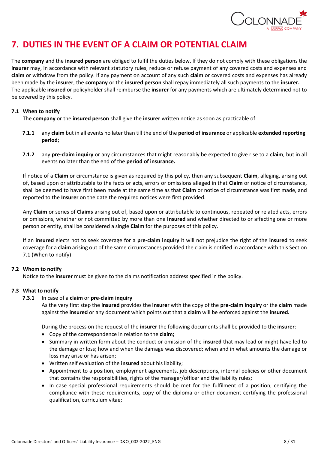

# <span id="page-7-0"></span>**7. DUTIES IN THE EVENT OF A CLAIM OR POTENTIAL CLAIM**

The **company** and the **insured person** are obliged to fulfil the duties below. If they do not comply with these obligations the **insurer** may, in accordance with relevant statutory rules, reduce or refuse payment of any covered costs and expenses and **claim** or withdraw from the policy. If any payment on account of any such **claim** or covered costs and expenses has already been made by the **insurer**, the **company** or the **insured person** shall repay immediately all such payments to the **insurer.** The applicable **insured** or policyholder shall reimburse the **insurer** for any payments which are ultimately determined not to be covered by this policy.

# **7.1 When to notify**

The **company** or the **insured person** shall give the **insurer** written notice as soon as practicable of:

- **7.1.1** any **claim** but in all events no later than till the end of the **period of insurance** or applicable **extended reporting period**;
- **7.1.2** any **pre-claim inquiry** or any circumstances that might reasonably be expected to give rise to a **claim**, but in all events no later than the end of the **period of insurance.**

If notice of a **Claim** or circumstance is given as required by this policy, then any subsequent **Claim**, alleging, arising out of, based upon or attributable to the facts or acts, errors or omissions alleged in that **Claim** or notice of circumstance, shall be deemed to have first been made at the same time as that **Claim** or notice of circumstance was first made, and reported to the **Insurer** on the date the required notices were first provided.

Any **Claim** or series of **Claims** arising out of, based upon or attributable to continuous, repeated or related acts, errors or omissions, whether or not committed by more than one **Insured** and whether directed to or affecting one or more person or entity, shall be considered a single **Claim** for the purposes of this policy.

If an **insured** elects not to seek coverage for a **pre-claim inquiry** it will not prejudice the right of the **insured** to seek coverage for a **claim** arising out of the same circumstances provided the claim is notified in accordance with this Section 7.1 (When to notify)

# **7.2 Whom to notify**

Notice to the **insurer** must be given to the claims notification address specified in the policy.

### **7.3 What to notify**

### **7.3.1** In case of a **claim** or **pre-claim inquiry**

As the very first step the **insured** provides the **insurer** with the copy of the **pre-claim inquiry** or the **claim** made against the **insured** or any document which points out that a **claim** will be enforced against the **insured.**

During the process on the request of the **insurer** the following documents shall be provided to the **insurer**:

- Copy of the correspondence in relation to the **claim;**
- Summary in written form about the conduct or omission of the **insured** that may lead or might have led to the damage or loss; how and when the damage was discovered; when and in what amounts the damage or loss may arise or has arisen;
- Written self evaluation of the **insured** about his liability;
- Appointment to a position, employment agreements, job descriptions, internal policies or other document that contains the responsibilities, rights of the manager/officer and the liability rules;
- In case special professional requirements should be met for the fulfilment of a position, certifying the compliance with these requirements, copy of the diploma or other document certifying the professional qualification, curriculum vitae;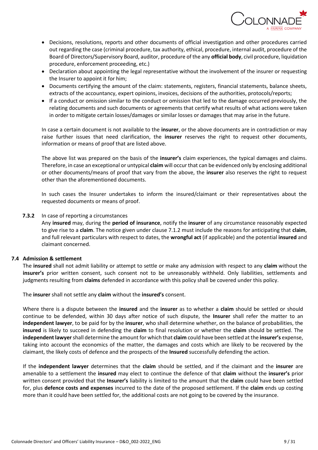

- Decisions, resolutions, reports and other documents of official investigation and other procedures carried out regarding the case (criminal procedure, tax authority, ethical, procedure, internal audit, procedure of the Board of Directors/Supervisory Board, auditor, procedure of the any **official body**, civil procedure, liquidation procedure, enforcement proceeding, etc.)
- Declaration about appointing the legal representative without the involvement of the insurer or requesting the Insurer to appoint it for him;
- Documents certifying the amount of the claim: statements, registers, financial statements, balance sheets, extracts of the accountancy, expert opinions, invoices, decisions of the authorities, protocols/reports;
- If a conduct or omission similar to the conduct or omission that led to the damage occurred previously, the relating documents and such documents or agreements that certify what results of what actions were taken in order to mitigate certain losses/damages or similar losses or damages that may arise in the future.

In case a certain document is not available to the **insurer**, or the above documents are in contradiction or may raise further issues that need clarification, the **insurer** reserves the right to request other documents, information or means of proof that are listed above.

The above list was prepared on the basis of the **insurer's** claim experiences, the typical damages and claims. Therefore, in case an exceptional or untypical **claim** will occur that can be evidenced only by enclosing additional or other documents/means of proof that vary from the above, the **insurer** also reserves the right to request other than the aforementioned documents.

In such cases the Insurer undertakes to inform the insured/claimant or their representatives about the requested documents or means of proof.

#### **7.3.2** In case of reporting a circumstances

Any **insured** may, during the **period of insurance**, notify the **insurer** of any circumstance reasonably expected to give rise to a **claim**. The notice given under clause 7.1.2 must include the reasons for anticipating that **claim**, and full relevant particulars with respect to dates, the **wrongful act** (if applicable) and the potential **insured** and claimant concerned.

### **7.4 Admission & settlement**

The **insured** shall not admit liability or attempt to settle or make any admission with respect to any **claim** without the **insurer's** prior written consent, such consent not to be unreasonably withheld. Only liabilities, settlements and judgments resulting from **claims** defended in accordance with this policy shall be covered under this policy.

The **insurer** shall not settle any **claim** without the **insured's** consent.

Where there is a dispute between the **insured** and the **insurer** as to whether a **claim** should be settled or should continue to be defended, within 30 days after notice of such dispute, the **Insurer** shall refer the matter to an **independent lawyer**, to be paid for by the **insurer**, who shall determine whether, on the balance of probabilities, the **insured** is likely to succeed in defending the **claim** to final resolution or whether the **claim** should be settled. The **independent lawyer** shall determine the amount for which that **claim** could have been settled at the **insurer's** expense, taking into account the economics of the matter, the damages and costs which are likely to be recovered by the claimant, the likely costs of defence and the prospects of the **Insured** successfully defending the action.

If the **independent lawyer** determines that the **claim** should be settled, and if the claimant and the **insurer** are amenable to a settlement the **insured** may elect to continue the defence of that **claim** without the **insurer's** prior written consent provided that the **Insurer's** liability is limited to the amount that the **claim** could have been settled for, plus **defence costs and expenses** incurred to the date of the proposed settlement. If the **claim** ends up costing more than it could have been settled for, the additional costs are not going to be covered by the insurance.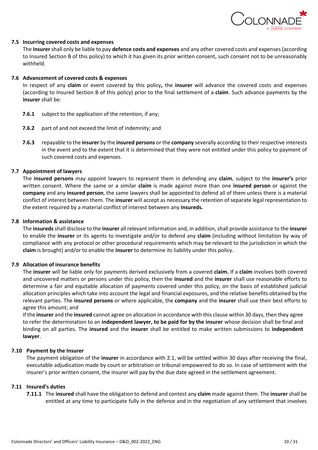

#### **7.5 Incurring covered costs and expenses**

The **insurer** shall only be liable to pay **defence costs and expenses** and any other covered costs and expenses (according to Insured Section B of this policy) to which it has given its prior written consent, such consent not to be unreasonably withheld.

#### **7.6 Advancement of covered costs & expenses**

In respect of any **claim** or event covered by this policy**,** the **insurer** will advance the covered costs and expenses (according to Insured Section B of this policy) prior to the final settlement of a **claim**. Such advance payments by the **insurer** shall be:

- **7.6.1** subject to the application of the retention, if any;
- **7.6.2** part of and not exceed the limit of indemnity; and
- **7.6.3** repayable to the **insurer** by the **insured persons** or the **company** severally according to their respective interests in the event and to the extent that it is determined that they were not entitled under this policy to payment of such covered costs and expenses.

#### **7.7 Appointment of lawyers**

The **insured persons** may appoint lawyers to represent them in defending any **claim**, subject to the **insurer's** prior written consent. Where the same or a similar **claim** is made against more than one **insured person** or against the **company** and any **insured person**, the same lawyers shall be appointed to defend all of them unless there is a material conflict of interest between them. The **insurer** will accept as necessary the retention of separate legal representation to the extent required by a material conflict of interest between any **insureds.**

#### **7.8 Information & assistance**

The **insureds** shall disclose to the **insurer** all relevant information and, in addition, shall provide assistance to the **insurer**  to enable the **insurer** or its agents to investigate and/or to defend any **claim** (including without limitation by way of compliance with any protocol or other procedural requirements which may be relevant to the jurisdiction in which the **claim** is brought) and/or to enable the **insurer** to determine its liability under this policy.

#### **7.9 Allocation of insurance benefits**

The **insurer** will be liable only for payments derived exclusively from a covered **claim.** If a **claim** involves both covered and uncovered matters or persons under this policy, then the **insured** and the **insurer** shall use reasonable efforts to determine a fair and equitable allocation of payments covered under this policy, on the basis of established judicial allocation principles which take into account the legal and financial exposures, and the relative benefits obtained by the relevant parties. The **insured persons** or where applicable, the **company** and the **insurer** shall use their best efforts to agree this amount; and

If the **insurer** and the **insured** cannot agree on allocation in accordance with this clause within 30 days, then they agree to refer the determination to an **independent lawyer, to be paid for by the insurer** whose decision shall be final and binding on all parties. The **insured** and the **insurer** shall be entitled to make written submissions to **independent lawyer**.

#### **7.10 Payment by the Insurer**

The payment obligation of the **insurer** in accordance with 2.1, will be settled within 30 days after receiving the final, executable adjudication made by court or arbitration or tribunal empowered to do so. In case of settlement with the insurer's prior written consent, the insurer will pay by the due date agreed in the settlement agreement.

### **7.11 Insured's duties**

**7.11.1** The **insured** shall have the obligation to defend and contest any **claim** made against them. The **insurer** shall be entitled at any time to participate fully in the defence and in the negotiation of any settlement that involves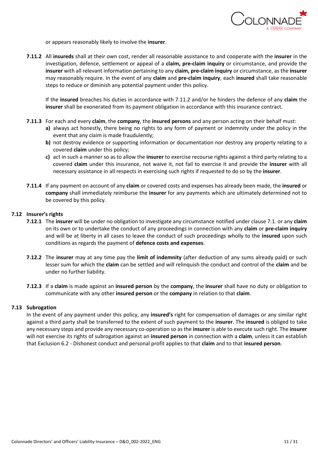

or appears reasonably likely to involve the **insurer**.

**7.11.2** All **insureds** shall at their own cost, render all reasonable assistance to and cooperate with the **insurer** in the investigation, defence, settlement or appeal of a **claim, pre-claim inquiry** or circumstance, and provide the **insurer** with all relevant information pertaining to any **claim, pre-claim inquiry** or circumstance, as the **insurer** may reasonably require. In the event of any **claim** and **pre-claim inquiry**, each **insured** shall take reasonable steps to reduce or diminish any potential payment under this policy.

If the **insured** breaches his duties in accordance with 7.11.2 and/or he hinders the defence of any **claim** the **insurer** shall be exonerated from its payment obligation in accordance with this insurance contract.

- **7.11.3** For each and every **claim**, the **company**, the **insured persons** and any person acting on their behalf must:
	- **a)** always act honestly, there being no rights to any form of payment or indemnity under the policy in the event that any claim is made fraudulently;
	- **b)** not destroy evidence or supporting information or documentation nor destroy any property relating to a covered **claim** under this policy;
	- **c)** act in such a manner so as to allow the **insurer** to exercise recourse rights against a third party relating to a covered **claim** under this insurance, not waive it, not fail to exercise it and provide the **insurer** with all necessary assistance in all respects in exercising such rights if requested to do so by the **insurer**.
- **7.11.4** If any payment on account of any **claim** or covered costs and expenses has already been made, the **insured** or **company** shall immediately reimburse the **insurer** for any payments which are ultimately determined not to be covered by this policy.

### **7.12 Insurer's rights**

- **7.12.1** The **insurer** will be under no obligation to investigate any circumstance notified under clause 7.1. or any **claim**  on its own or to undertake the conduct of any proceedings in connection with any **claim** or **pre-claim inquiry** and will be at liberty in all cases to leave the conduct of such proceedings wholly to the **insured** upon such conditions as regards the payment of **defence costs and expenses**.
- **7.12.2** The **insurer** may at any time pay the **limit of indemnity** (after deduction of any sums already paid) or such lesser sum for which the **claim** can be settled and will relinquish the conduct and control of the **claim** and be under no further liability.
- **7.12.3** If a **claim** is made against an **insured person** by the **company**, the **insurer** shall have no duty or obligation to communicate with any other **insured person** or the **company** in relation to that **claim**.

### **7.13 Subrogation**

In the event of any payment under this policy, any **insured's** right for compensation of damages or any similar right against a third party shall be transferred to the extent of such payment to the **insurer**. The **insured** is obliged to take any necessary steps and provide any necessary co-operation so as the **insurer** is able to execute such right. The **insurer**  will not exercise its rights of subrogation against an **insured person** in connection with a **claim**, unless it can establish that Exclusion 6.2 - Dishonest conduct and personal profit applies to that **claim** and to that **insured person**.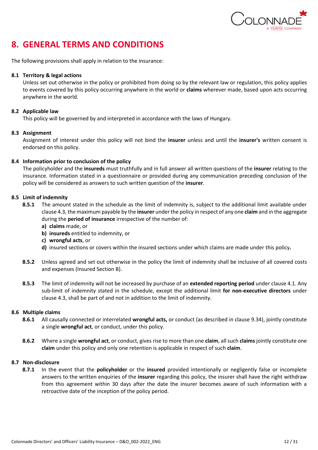

# <span id="page-11-0"></span>**8. GENERAL TERMS AND CONDITIONS**

The following provisions shall apply in relation to the insurance:

# **8.1 Territory & legal actions**

Unless set out otherwise in the policy or prohibited from doing so by the relevant law or regulation, this policy applies to events covered by this policy occurring anywhere in the world or **claims** wherever made, based upon acts occurring anywhere in the world.

# **8.2 Applicable law**

This policy will be governed by and interpreted in accordance with the laws of Hungary.

# **8.3 Assignment**

Assignment of interest under this policy will not bind the **insurer** unless and until the **insurer's** written consent is endorsed on this policy.

# **8.4 Information prior to conclusion of the policy**

The policyholder and the **insureds** must truthfully and in full answer all written questions of the **insurer** relating to the insurance. Information stated in a questionnaire or provided during any communication preceding conclusion of the policy will be considered as answers to such written question of the **insurer**.

# **8.5 Limit of indemnity**

- **8.5.1** The amount stated in the schedule as the limit of indemnity is, subject to the additional limit available under clause 4.3, the maximum payable by the **insurer** under the policy in respect of any one **claim** and in the aggregate during the **period of insurance** irrespective of the number of:
	- **a) claims** made, or
	- **b) insureds** entitled to indemnity, or
	- **c) wrongful acts**, or
	- **d)** insured sections or covers within the insured sections under which claims are made under this policy**.**
- **8.5.2** Unless agreed and set out otherwise in the policy the limit of indemnity shall be inclusive of all covered costs and expenses (Insured Section B).
- **8.5.3** The limit of indemnity will not be increased by purchase of an **extended reporting period** under clause 4.1. Any sub-limit of indemnity stated in the schedule, except the additional limit **for non-executive directors** under clause 4.3, shall be part of and not in addition to the limit of indemnity.

### **8.6 Multiple claims**

- **8.6.1** All causally connected or interrelated **wrongful acts,** or conduct (as described in clause 9.34), jointly constitute a single **wrongful act**, or conduct, under this policy.
- **8.6.2** Where a single **wrongful act**, or conduct, gives rise to more than one **claim**, all such **claims** jointly constitute one **claim** under this policy and only one retention is applicable in respect of such **claim**.

### **8.7 Non-disclosure**

**8.7.1** In the event that the **policyholder** or the **insured** provided intentionally or negligently false or incomplete answers to the written enquiries of the **insurer** regarding this policy, the insurer shall have the right withdraw from this agreement within 30 days after the date the insurer becomes aware of such information with a retroactive date of the inception of the policy period.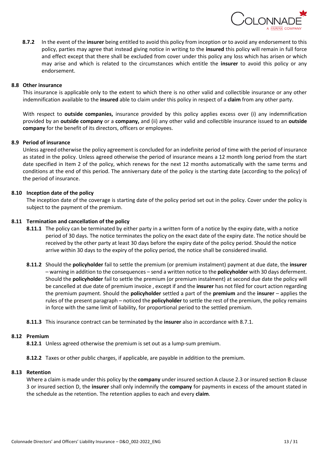

**8.7.2** In the event of the **insurer** being entitled to avoid this policy from inception or to avoid any endorsement to this policy, parties may agree that instead giving notice in writing to the **insured** this policy will remain in full force and effect except that there shall be excluded from cover under this policy any loss which has arisen or which may arise and which is related to the circumstances which entitle the **insurer** to avoid this policy or any endorsement.

#### **8.8 Other insurance**

This insurance is applicable only to the extent to which there is no other valid and collectible insurance or any other indemnification available to the **insured** able to claim under this policy in respect of a **claim** from any other party.

With respect to **outside companies,** insurance provided by this policy applies excess over (i) any indemnification provided by an **outside company** or a **company,** and (ii) any other valid and collectible insurance issued to an **outside company** for the benefit of its directors, officers or employees.

#### **8.9 Period of insurance**

Unless agreed otherwise the policy agreement is concluded for an indefinite period of time with the period of insurance as stated in the policy. Unless agreed otherwise the period of insurance means a 12 month long period from the start date specified in Item 2 of the policy, which renews for the next 12 months automatically with the same terms and conditions at the end of this period. The anniversary date of the policy is the starting date (according to the policy) of the period of insurance.

#### **8.10 Inception date of the policy**

The inception date of the coverage is starting date of the policy period set out in the policy. Cover under the policy is subject to the payment of the premium.

#### **8.11 Termination and cancellation of the policy**

- **8.11.1** The policy can be terminated by either party in a written form of a notice by the expiry date, with a notice period of 30 days. The notice terminates the policy on the exact date of the expiry date. The notice should be received by the other party at least 30 days before the expiry date of the policy period. Should the notice arrive within 30 days to the expiry of the policy period, the notice shall be considered invalid.
- **8.11.2** Should the **policyholder** fail to settle the premium (or premium instalment) payment at due date, the **insurer**  – warning in addition to the consequences – send a written notice to the **policyholder** with 30 days deferment. Should the **policyholder** fail to settle the premium (or premium instalment) at second due date the policy will be cancelled at due date of premium invoice , except if and the **insurer** has not filed for court action regarding the premium payment. Should the **policyholder** settled a part of the **premium** and the **insurer** – applies the rules of the present paragraph – noticed the **policyholder** to settle the rest of the premium, the policy remains in force with the same limit of liability, for proportional period to the settled premium.

### **8.11.3** This insurance contract can be terminated by the **insurer** also in accordance with 8.7.1.

#### **8.12 Premium**

**8.12.1** Unless agreed otherwise the premium is set out as a lump-sum premium.

### **8.12.2** Taxes or other public charges, if applicable, are payable in addition to the premium.

#### **8.13 Retention**

Where a claim is made under this policy by the **company** under insured section A clause 2.3 or insured section B clause 3 or insured section D, the **insurer** shall only indemnify the **company** for payments in excess of the amount stated in the schedule as the retention. The retention applies to each and every **claim**.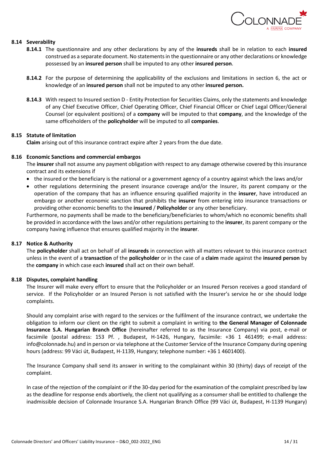

### **8.14 Severability**

- **8.14.1** The questionnaire and any other declarations by any of the **insureds** shall be in relation to each **insured** construed as a separate document. No statements in the questionnaire or any other declarations or knowledge possessed by an **insured person** shall be imputed to any other **insured person**.
- **8.14.2** For the purpose of determining the applicability of the exclusions and limitations in section 6, the act or knowledge of an **insured person** shall not be imputed to any other **insured person.**
- **8.14.3** With respect to Insured section D Entity Protection for Securities Claims, only the statements and knowledge of any Chief Executive Officer, Chief Operating Officer, Chief Financial Officer or Chief Legal Officer/General Counsel (or equivalent positions) of a **company** will be imputed to that **company**, and the knowledge of the same officeholders of the **policyholder** will be imputed to all **companies**.

#### **8.15 Statute of limitation**

**Claim** arising out of this insurance contract expire after 2 years from the due date.

#### **8.16 Economic Sanctions and commercial embargos**

The **insurer** shall not assume any payment obligation with respect to any damage otherwise covered by this insurance contract and its extensions if

- the insured or the beneficiary is the national or a government agency of a country against which the laws and/or
- other regulations determining the present insurance coverage and/or the Insurer, its parent company or the operation of the company that has an influence ensuring qualified majority in the **insurer**, have introduced an embargo or another economic sanction that prohibits the **insurer** from entering into insurance transactions or providing other economic benefits to the **insured** / **Policyholder** or any other beneficiary.

Furthermore, no payments shall be made to the beneficiary/beneficiaries to whom/which no economic benefits shall be provided in accordance with the laws and/or other regulations pertaining to the **insurer**, its parent company or the company having influence that ensures qualified majority in the **insurer**.

### **8.17 Notice & Authority**

The **policyholder** shall act on behalf of all **insureds** in connection with all matters relevant to this insurance contract unless in the event of a **transaction** of the **policyholder** or in the case of a **claim** made against the **insured person** by the **company** in which case each **insured** shall act on their own behalf.

#### **8.18 Disputes, complaint handling**

The Insurer will make every effort to ensure that the Policyholder or an Insured Person receives a good standard of service. If the Policyholder or an Insured Person is not satisfied with the Insurer's service he or she should lodge complaints.

Should any complaint arise with regard to the services or the fulfilment of the insurance contract, we undertake the obligation to inform our client on the right to submit a complaint in writing to **the General Manager of Colonnade Insurance S.A. Hungarian Branch Office** (hereinafter referred to as the Insurance Company) via post, e-mail or facsimile (postal address: 153 Pf. , Budapest, H-1426, Hungary, facsimile: +36 1 461499; e-mail address: info@colonnade.hu) and in person or via telephone at the Customer Service of the Insurance Company during opening hours (address: 99 Váci út, Budapest, H-1139, Hungary; telephone number: +36 1 4601400).

The Insurance Company shall send its answer in writing to the complainant within 30 (thirty) days of receipt of the complaint.

In case of the rejection of the complaint or if the 30-day period for the examination of the complaint prescribed by law as the deadline for response ends abortively, the client not qualifying as a consumer shall be entitled to challenge the inadmissible decision of Colonnade Insurance S.A. Hungarian Branch Office (99 Váci út, Budapest, H-1139 Hungary)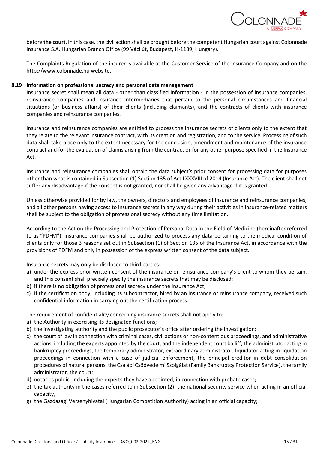

before **the court**. In this case, the civil action shall be brought before the competent Hungarian court against Colonnade Insurance S.A. Hungarian Branch Office (99 Váci út, Budapest, H-1139, Hungary).

The Complaints Regulation of the insurer is available at the Customer Service of the Insurance Company and on the http://www.colonnade.hu website.

#### **8.19 Information on professional secrecy and personal data management**

Insurance secret shall mean all data - other than classified information - in the possession of insurance companies, reinsurance companies and insurance intermediaries that pertain to the personal circumstances and financial situations (or business affairs) of their clients (including claimants), and the contracts of clients with insurance companies and reinsurance companies.

Insurance and reinsurance companies are entitled to process the insurance secrets of clients only to the extent that they relate to the relevant insurance contract, with its creation and registration, and to the service. Processing of such data shall take place only to the extent necessary for the conclusion, amendment and maintenance of the insurance contract and for the evaluation of claims arising from the contract or for any other purpose specified in the Insurance Act.

Insurance and reinsurance companies shall obtain the data subject's prior consent for processing data for purposes other than what is contained in Subsection (1) Section 135 of Act LXXXVIII of 2014 (Insurance Act). The client shall not suffer any disadvantage if the consent is not granted, nor shall be given any advantage if it is granted.

Unless otherwise provided for by law, the owners, directors and employees of insurance and reinsurance companies, and all other persons having access to insurance secrets in any way during their activities in insurance-related matters shall be subject to the obligation of professional secrecy without any time limitation.

According to the Act on the Processing and Protection of Personal Data in the Field of Medicine (hereinafter referred to as "PDFM"), insurance companies shall be authorized to process any data pertaining to the medical condition of clients only for those 3 reasons set out in Subsection (1) of Section 135 of the Insurance Act, in accordance with the provisions of PDFM and only in possession of the express written consent of the data subject.

Insurance secrets may only be disclosed to third parties:

- a) under the express prior written consent of the insurance or reinsurance company's client to whom they pertain, and this consent shall precisely specify the insurance secrets that may be disclosed;
- b) if there is no obligation of professional secrecy under the Insurance Act;
- c) if the certification body, including its subcontractor, hired by an insurance or reinsurance company, received such confidential information in carrying out the certification process.

The requirement of confidentiality concerning insurance secrets shall not apply to:

- a) the Authority in exercising its designated functions;
- b) the investigating authority and the public prosecutor's office after ordering the investigation;
- c) the court of law in connection with criminal cases, civil actions or non-contentious proceedings, and administrative actions, including the experts appointed by the court, and the independent court bailiff, the administrator acting in bankruptcy proceedings, the temporary administrator, extraordinary administrator, liquidator acting in liquidation proceedings in connection with a case of judicial enforcement, the principal creditor in debt consolidation procedures of natural persons, the Családi Csődvédelmi Szolgálat (Family Bankruptcy Protection Service), the family administrator, the court;
- d) notaries public, including the experts they have appointed, in connection with probate cases;
- e) the tax authority in the cases referred to in Subsection (2); the national security service when acting in an official capacity,
- g) the Gazdasági Versenyhivatal (Hungarian Competition Authority) acting in an official capacity;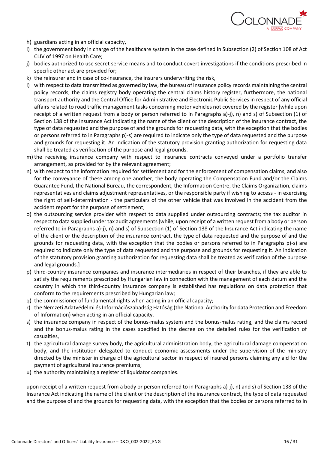

- h) guardians acting in an official capacity,
- i) the government body in charge of the healthcare system in the case defined in Subsection (2) of Section 108 of Act CLIV of 1997 on Health Care;
- j) bodies authorized to use secret service means and to conduct covert investigations if the conditions prescribed in specific other act are provided for;
- k) the reinsurer and in case of co-insurance, the insurers underwriting the risk,
- l) with respect to data transmitted as governed by law, the bureau of insurance policy records maintaining the central policy records, the claims registry body operating the central claims history register, furthermore, the national transport authority and the Central Office for Administrative and Electronic Public Services in respect of any official affairs related to road traffic management tasks concerning motor vehicles not covered by the register [while upon receipt of a written request from a body or person referred to in Paragraphs a)-j), n) and s) of Subsection (1) of Section 138 of the Insurance Act indicating the name of the client or the description of the insurance contract, the type of data requested and the purpose of and the grounds for requesting data, with the exception that the bodies or persons referred to in Paragraphs p)-s) are required to indicate only the type of data requested and the purpose and grounds for requesting it. An indication of the statutory provision granting authorization for requesting data shall be treated as verification of the purpose and legal grounds.
- m) the receiving insurance company with respect to insurance contracts conveyed under a portfolio transfer arrangement, as provided for by the relevant agreement;
- n) with respect to the information required for settlement and for the enforcement of compensation claims, and also for the conveyance of these among one another, the body operating the Compensation Fund and/or the Claims Guarantee Fund, the National Bureau, the correspondent, the Information Centre, the Claims Organization, claims representatives and claims adjustment representatives, or the responsible party if wishing to access - in exercising the right of self-determination - the particulars of the other vehicle that was involved in the accident from the accident report for the purpose of settlement;
- o) the outsourcing service provider with respect to data supplied under outsourcing contracts; the tax auditor in respect to data supplied under tax audit agreements [while, upon receipt of a written request from a body or person referred to in Paragraphs a)-j), n) and s) of Subsection (1) of Section 138 of the Insurance Act indicating the name of the client or the description of the insurance contract, the type of data requested and the purpose of and the grounds for requesting data, with the exception that the bodies or persons referred to in Paragraphs p)-s) are required to indicate only the type of data requested and the purpose and grounds for requesting it. An indication of the statutory provision granting authorization for requesting data shall be treated as verification of the purpose and legal grounds.]
- p) third-country insurance companies and insurance intermediaries in respect of their branches, if they are able to satisfy the requirements prescribed by Hungarian law in connection with the management of each datum and the country in which the third-country insurance company is established has regulations on data protection that conform to the requirements prescribed by Hungarian law;
- q) the commissioner of fundamental rights when acting in an official capacity;
- r) the Nemzeti Adatvédelmi és Információszabadság Hatóság (the National Authority for data Protection and Freedom of Information) when acting in an official capacity.
- s) the insurance company in respect of the bonus-malus system and the bonus-malus rating, and the claims record and the bonus-malus rating in the cases specified in the decree on the detailed rules for the verification of casualties,
- t) the agricultural damage survey body, the agricultural administration body, the agricultural damage compensation body, and the institution delegated to conduct economic assessments under the supervision of the ministry directed by the minister in charge of the agricultural sector in respect of insured persons claiming any aid for the payment of agricultural insurance premiums;
- u) the authority maintaining a register of liquidator companies.

upon receipt of a written request from a body or person referred to in Paragraphs a)-j), n) and s) of Section 138 of the Insurance Act indicating the name of the client or the description of the insurance contract, the type of data requested and the purpose of and the grounds for requesting data, with the exception that the bodies or persons referred to in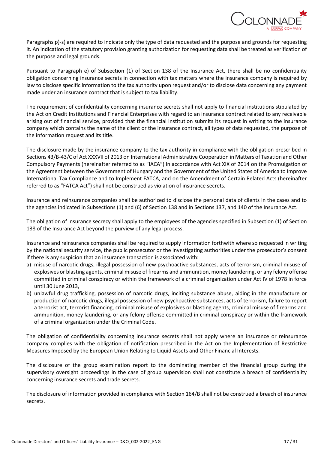

Paragraphs p)-s) are required to indicate only the type of data requested and the purpose and grounds for requesting it. An indication of the statutory provision granting authorization for requesting data shall be treated as verification of the purpose and legal grounds.

Pursuant to Paragraph e) of Subsection (1) of Section 138 of the Insurance Act, there shall be no confidentiality obligation concerning insurance secrets in connection with tax matters where the insurance company is required by law to disclose specific information to the tax authority upon request and/or to disclose data concerning any payment made under an insurance contract that is subject to tax liability.

The requirement of confidentiality concerning insurance secrets shall not apply to financial institutions stipulated by the Act on Credit Institutions and Financial Enterprises with regard to an insurance contract related to any receivable arising out of financial service, provided that the financial institution submits its request in writing to the insurance company which contains the name of the client or the insurance contract, all types of data requested, the purpose of the information request and its title.

The disclosure made by the insurance company to the tax authority in compliance with the obligation prescribed in Sections 43/B-43/C of Act XXXVII of 2013 on International Administrative Cooperation in Matters of Taxation and Other Compulsory Payments (hereinafter referred to as "IACA") in accordance with Act XIX of 2014 on the Promulgation of the Agreement between the Government of Hungary and the Government of the United States of America to Improve International Tax Compliance and to Implement FATCA, and on the Amendment of Certain Related Acts (hereinafter referred to as "FATCA Act") shall not be construed as violation of insurance secrets.

Insurance and reinsurance companies shall be authorized to disclose the personal data of clients in the cases and to the agencies indicated in Subsections (1) and (6) of Section 138 and in Sections 137, and 140 of the Insurance Act.

The obligation of insurance secrecy shall apply to the employees of the agencies specified in Subsection (1) of Section 138 of the Insurance Act beyond the purview of any legal process.

Insurance and reinsurance companies shall be required to supply information forthwith where so requested in writing by the national security service, the public prosecutor or the investigating authorities under the prosecutor's consent if there is any suspicion that an insurance transaction is associated with:

- a) misuse of narcotic drugs, illegal possession of new psychoactive substances, acts of terrorism, criminal misuse of explosives or blasting agents, criminal misuse of firearms and ammunition, money laundering, or any felony offense committed in criminal conspiracy or within the framework of a criminal organization under Act IV of 1978 in force until 30 June 2013,
- b) unlawful drug trafficking, possession of narcotic drugs, inciting substance abuse, aiding in the manufacture or production of narcotic drugs, illegal possession of new psychoactive substances, acts of terrorism, failure to report a terrorist act, terrorist financing, criminal misuse of explosives or blasting agents, criminal misuse of firearms and ammunition, money laundering, or any felony offense committed in criminal conspiracy or within the framework of a criminal organization under the Criminal Code.

The obligation of confidentiality concerning insurance secrets shall not apply where an insurance or reinsurance company complies with the obligation of notification prescribed in the Act on the Implementation of Restrictive Measures Imposed by the European Union Relating to Liquid Assets and Other Financial Interests.

The disclosure of the group examination report to the dominating member of the financial group during the supervisory oversight proceedings in the case of group supervision shall not constitute a breach of confidentiality concerning insurance secrets and trade secrets.

The disclosure of information provided in compliance with Section 164/B shall not be construed a breach of insurance secrets.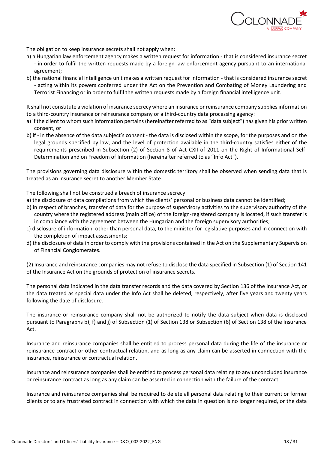

The obligation to keep insurance secrets shall not apply when:

- a) a Hungarian law enforcement agency makes a written request for information that is considered insurance secret - in order to fulfil the written requests made by a foreign law enforcement agency pursuant to an international agreement;
- b) the national financial intelligence unit makes a written request for information that is considered insurance secret - acting within its powers conferred under the Act on the Prevention and Combating of Money Laundering and Terrorist Financing or in order to fulfil the written requests made by a foreign financial intelligence unit.

It shall not constitute a violation of insurance secrecy where an insurance or reinsurance company supplies information to a third-country insurance or reinsurance company or a third-country data processing agency:

- a) if the client to whom such information pertains (hereinafter referred to as "data subject") has given his prior written consent, or
- b) if in the absence of the data subject's consent the data is disclosed within the scope, for the purposes and on the legal grounds specified by law, and the level of protection available in the third-country satisfies either of the requirements prescribed in Subsection (2) of Section 8 of Act CXII of 2011 on the Right of Informational Self-Determination and on Freedom of Information (hereinafter referred to as "Info Act").

The provisions governing data disclosure within the domestic territory shall be observed when sending data that is treated as an insurance secret to another Member State.

The following shall not be construed a breach of insurance secrecy:

- a) the disclosure of data compilations from which the clients' personal or business data cannot be identified;
- b) in respect of branches, transfer of data for the purpose of supervisory activities to the supervisory authority of the country where the registered address (main office) of the foreign-registered company is located, if such transfer is in compliance with the agreement between the Hungarian and the foreign supervisory authorities;
- c) disclosure of information, other than personal data, to the minister for legislative purposes and in connection with the completion of impact assessments;
- d) the disclosure of data in order to comply with the provisions contained in the Act on the Supplementary Supervision of Financial Conglomerates.

(2) Insurance and reinsurance companies may not refuse to disclose the data specified in Subsection (1) of Section 141 of the Insurance Act on the grounds of protection of insurance secrets.

The personal data indicated in the data transfer records and the data covered by Section 136 of the Insurance Act, or the data treated as special data under the Info Act shall be deleted, respectively, after five years and twenty years following the date of disclosure.

The insurance or reinsurance company shall not be authorized to notify the data subject when data is disclosed pursuant to Paragraphs b), f) and j) of Subsection (1) of Section 138 or Subsection (6) of Section 138 of the Insurance Act.

Insurance and reinsurance companies shall be entitled to process personal data during the life of the insurance or reinsurance contract or other contractual relation, and as long as any claim can be asserted in connection with the insurance, reinsurance or contractual relation.

Insurance and reinsurance companies shall be entitled to process personal data relating to any unconcluded insurance or reinsurance contract as long as any claim can be asserted in connection with the failure of the contract.

Insurance and reinsurance companies shall be required to delete all personal data relating to their current or former clients or to any frustrated contract in connection with which the data in question is no longer required, or the data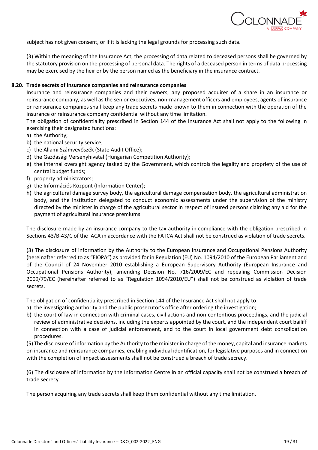

subject has not given consent, or if it is lacking the legal grounds for processing such data.

(3) Within the meaning of the Insurance Act, the processing of data related to deceased persons shall be governed by the statutory provision on the processing of personal data. The rights of a deceased person in terms of data processing may be exercised by the heir or by the person named as the beneficiary in the insurance contract.

#### **8.20. Trade secrets of insurance companies and reinsurance companies**

Insurance and reinsurance companies and their owners, any proposed acquirer of a share in an insurance or reinsurance company, as well as the senior executives, non-management officers and employees, agents of insurance or reinsurance companies shall keep any trade secrets made known to them in connection with the operation of the insurance or reinsurance company confidential without any time limitation.

The obligation of confidentiality prescribed in Section 144 of the Insurance Act shall not apply to the following in exercising their designated functions:

- a) the Authority;
- b) the national security service;
- c) the Állami Számvevőszék (State Audit Office);
- d) the Gazdasági Versenyhivatal (Hungarian Competition Authority);
- e) the internal oversight agency tasked by the Government, which controls the legality and propriety of the use of central budget funds;
- f) property administrators;
- g) the Információs Központ (Information Center);
- h) the agricultural damage survey body, the agricultural damage compensation body, the agricultural administration body, and the institution delegated to conduct economic assessments under the supervision of the ministry directed by the minister in charge of the agricultural sector in respect of insured persons claiming any aid for the payment of agricultural insurance premiums.

The disclosure made by an insurance company to the tax authority in compliance with the obligation prescribed in Sections 43/B-43/C of the IACA in accordance with the FATCA Act shall not be construed as violation of trade secrets.

(3) The disclosure of information by the Authority to the European Insurance and Occupational Pensions Authority (hereinafter referred to as "EIOPA") as provided for in Regulation (EU) No. 1094/2010 of the European Parliament and of the Council of 24 November 2010 establishing a European Supervisory Authority (European Insurance and Occupational Pensions Authority), amending Decision No. 716/2009/EC and repealing Commission Decision 2009/79/EC (hereinafter referred to as "Regulation 1094/2010/EU") shall not be construed as violation of trade secrets.

The obligation of confidentiality prescribed in Section 144 of the Insurance Act shall not apply to:

- a) the investigating authority and the public prosecutor's office after ordering the investigation;
- b) the court of law in connection with criminal cases, civil actions and non-contentious proceedings, and the judicial review of administrative decisions, including the experts appointed by the court, and the independent court bailiff in connection with a case of judicial enforcement, and to the court in local government debt consolidation procedures.

(5) The disclosure of information by the Authority to the minister in charge of the money, capital and insurance markets on insurance and reinsurance companies, enabling individual identification, for legislative purposes and in connection with the completion of impact assessments shall not be construed a breach of trade secrecy.

(6) The disclosure of information by the Information Centre in an official capacity shall not be construed a breach of trade secrecy.

The person acquiring any trade secrets shall keep them confidential without any time limitation.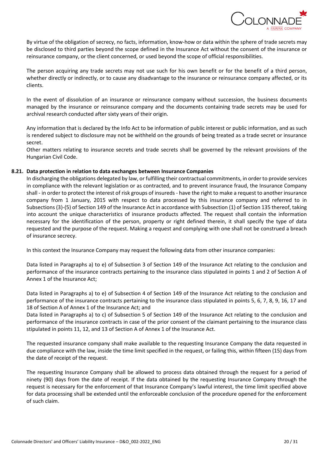

By virtue of the obligation of secrecy, no facts, information, know-how or data within the sphere of trade secrets may be disclosed to third parties beyond the scope defined in the Insurance Act without the consent of the insurance or reinsurance company, or the client concerned, or used beyond the scope of official responsibilities.

The person acquiring any trade secrets may not use such for his own benefit or for the benefit of a third person, whether directly or indirectly, or to cause any disadvantage to the insurance or reinsurance company affected, or its clients.

In the event of dissolution of an insurance or reinsurance company without succession, the business documents managed by the insurance or reinsurance company and the documents containing trade secrets may be used for archival research conducted after sixty years of their origin.

Any information that is declared by the Info Act to be information of public interest or public information, and as such is rendered subject to disclosure may not be withheld on the grounds of being treated as a trade secret or insurance secret.

Other matters relating to insurance secrets and trade secrets shall be governed by the relevant provisions of the Hungarian Civil Code.

### **8.21. Data protection in relation to data exchanges between Insurance Companies**

In discharging the obligations delegated by law, or fulfilling their contractual commitments, in order to provide services in compliance with the relevant legislation or as contracted, and to prevent insurance fraud, the Insurance Company shall - in order to protect the interest of risk groups of insureds - have the right to make a request to another insurance company from 1 January, 2015 with respect to data processed by this insurance company and referred to in Subsections (3)-(5) of Section 149 of the Insurance Act in accordance with Subsection (1) of Section 135 thereof, taking into account the unique characteristics of insurance products affected. The request shall contain the information necessary for the identification of the person, property or right defined therein, it shall specify the type of data requested and the purpose of the request. Making a request and complying with one shall not be construed a breach of insurance secrecy.

In this context the Insurance Company may request the following data from other insurance companies:

Data listed in Paragraphs a) to e) of Subsection 3 of Section 149 of the Insurance Act relating to the conclusion and performance of the insurance contracts pertaining to the insurance class stipulated in points 1 and 2 of Section A of Annex 1 of the Insurance Act;

Data listed in Paragraphs a) to e) of Subsection 4 of Section 149 of the Insurance Act relating to the conclusion and performance of the insurance contracts pertaining to the insurance class stipulated in points 5, 6, 7, 8, 9, 16, 17 and 18 of Section A of Annex 1 of the Insurance Act; and

Data listed in Paragraphs a) to c) of Subsection 5 of Section 149 of the Insurance Act relating to the conclusion and performance of the insurance contracts in case of the prior consent of the claimant pertaining to the insurance class stipulated in points 11, 12, and 13 of Section A of Annex 1 of the Insurance Act.

The requested insurance company shall make available to the requesting Insurance Company the data requested in due compliance with the law, inside the time limit specified in the request, or failing this, within fifteen (15) days from the date of receipt of the request.

The requesting Insurance Company shall be allowed to process data obtained through the request for a period of ninety (90) days from the date of receipt. If the data obtained by the requesting Insurance Company through the request is necessary for the enforcement of that Insurance Company's lawful interest, the time limit specified above for data processing shall be extended until the enforceable conclusion of the procedure opened for the enforcement of such claim.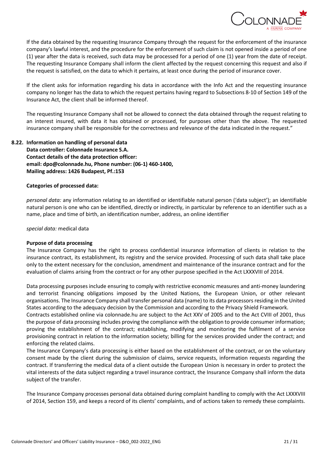

If the data obtained by the requesting Insurance Company through the request for the enforcement of the insurance company's lawful interest, and the procedure for the enforcement of such claim is not opened inside a period of one (1) year after the data is received, such data may be processed for a period of one (1) year from the date of receipt. The requesting Insurance Company shall inform the client affected by the request concerning this request and also if the request is satisfied, on the data to which it pertains, at least once during the period of insurance cover.

If the client asks for information regarding his data in accordance with the Info Act and the requesting insurance company no longer has the data to which the request pertains having regard to Subsections 8-10 of Section 149 of the Insurance Act, the client shall be informed thereof.

The requesting Insurance Company shall not be allowed to connect the data obtained through the request relating to an interest insured, with data it has obtained or processed, for purposes other than the above. The requested insurance company shall be responsible for the correctness and relevance of the data indicated in the request."

# **8.22. Information on handling of personal data Data controller: Colonnade Insurance S.A. Contact details of the data protection officer: email: dpo@colonnade.hu, Phone number: (06-1) 460-1400, Mailing address: 1426 Budapest, Pf.:153**

#### **Categories of processed data:**

*personal data:* any information relating to an identified or identifiable natural person ('data subject'); an identifiable natural person is one who can be identified, directly or indirectly, in particular by reference to an identifier such as a name, place and time of birth, an identification number, address, an online identifier

#### *special data:* medical data

### **Purpose of data processing**

The Insurance Company has the right to process confidential insurance information of clients in relation to the insurance contract, its establishment, its registry and the service provided. Processing of such data shall take place only to the extent necessary for the conclusion, amendment and maintenance of the insurance contract and for the evaluation of claims arising from the contract or for any other purpose specified in the Act LXXXVIII of 2014.

Data processing purposes include ensuring to comply with restrictive economic measures and anti-money laundering and terrorist financing obligations imposed by the United Nations, the European Union, or other relevant organisations. The Insurance Company shall transfer personal data (name) to its data processors residing in the United States according to the adequacy decision by the Commission and according to the Privacy Shield Framework.

Contracts established online via colonnade.hu are subject to the Act XXV of 2005 and to the Act CVIII of 2001, thus the purpose of data processing includes proving the compliance with the obligation to provide consumer information; proving the establishment of the contract; establishing, modifying and monitoring the fulfilment of a service provisioning contract in relation to the information society; billing for the services provided under the contract; and enforcing the related claims.

The Insurance Company's data processing is either based on the establishment of the contract, or on the voluntary consent made by the client during the submission of claims, service requests, information requests regarding the contract. If transferring the medical data of a client outside the European Union is necessary in order to protect the vital interests of the data subject regarding a travel insurance contract, the Insurance Company shall inform the data subject of the transfer.

The Insurance Company processes personal data obtained during complaint handling to comply with the Act LXXXVIII of 2014, Section 159, and keeps a record of its clients' complaints, and of actions taken to remedy these complaints.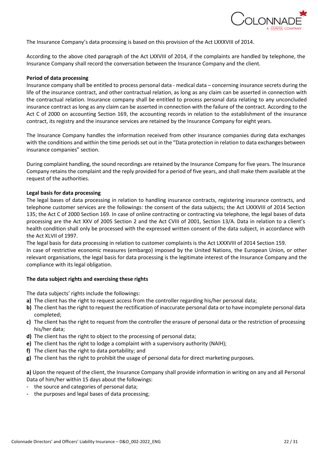

The Insurance Company's data processing is based on this provision of the Act LXXXVIII of 2014.

According to the above cited paragraph of the Act LXXVIII of 2014, if the complaints are handled by telephone, the Insurance Company shall record the conversation between the Insurance Company and the client.

#### **Period of data processing**

Insurance company shall be entitled to process personal data - medical data – concerning insurance secrets during the life of the insurance contract, and other contractual relation, as long as any claim can be asserted in connection with the contractual relation. Insurance company shall be entitled to process personal data relating to any unconcluded insurance contract as long as any claim can be asserted in connection with the failure of the contract. According to the Act C of 2000 on accounting Section 169, the accounting records in relation to the establishment of the insurance contract, its registry and the insurance services are retained by the Insurance Company for eight years.

The Insurance Company handles the information received from other insurance companies during data exchanges with the conditions and within the time periods set out in the "Data protection in relation to data exchanges between insurance companies" section.

During complaint handling, the sound recordings are retained by the Insurance Company for five years. The Insurance Company retains the complaint and the reply provided for a period of five years, and shall make them available at the request of the authorities.

#### **Legal basis for data processing**

The legal bases of data processing in relation to handling insurance contracts, registering insurance contracts, and telephone customer services are the followings: the consent of the data subjects; the Act LXXXVIII of 2014 Section 135; the Act C of 2000 Section 169. In case of online contracting or contracting via telephone, the legal bases of data processing are the Act XXV of 2005 Section 2 and the Act CVIII of 2001, Section 13/A. Data in relation to a client's health condition shall only be processed with the expressed written consent of the data subject, in accordance with the Act XLVII of 1997.

The legal basis for data processing in relation to customer complaints is the Act LXXXVIII of 2014 Section 159. In case of restrictive economic measures (embargo) imposed by the United Nations, the European Union, or other relevant organisations, the legal basis for data processing is the legitimate interest of the Insurance Company and the compliance with its legal obligation.

#### **The data subject rights and exercising these rights**

The data subjects' rights include the followings:

- **a)** The client has the right to request access from the controller regarding his/her personal data;
- **b)** The client has the right to request the rectification of inaccurate personal data or to have incomplete personal data completed;
- **c)** The client has the right to request from the controller the erasure of personal data or the restriction of processing his/her data;
- **d)** The client has the right to object to the processing of personal data;
- **e)** The client has the right to lodge a complaint with a supervisory authority (NAIH);
- **f)** The client has the right to data portability; and
- **g)** The client has the right to prohibit the usage of personal data for direct marketing purposes.

**a)** Upon the request of the client, the Insurance Company shall provide information in writing on any and all Personal Data of him/her within 15 days about the followings:

- the source and categories of personal data;
- the purposes and legal bases of data processing;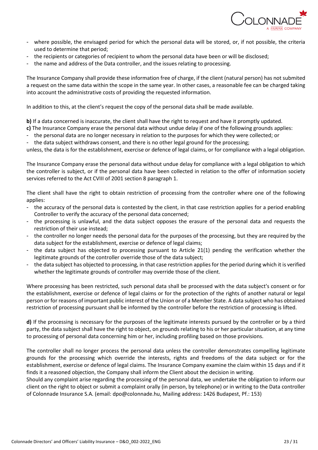

- where possible, the envisaged period for which the personal data will be stored, or, if not possible, the criteria used to determine that period;
- the recipients or categories of recipient to whom the personal data have been or will be disclosed;
- the name and address of the Data controller, and the issues relating to processing.

The Insurance Company shall provide these information free of charge, if the client (natural person) has not submited a request on the same data within the scope in the same year. In other cases, a reasonable fee can be charged taking into account the administrative costs of providing the requested information.

In addition to this, at the client's request the copy of the personal data shall be made available.

**b**) If a data concerned is inaccurate, the client shall have the right to request and have it promptly updated.

- **c)** The Insurance Company erase the personal data without undue delay if one of the following grounds applies:
- the personal data are no longer necessary in relation to the purposes for which they were collected; or
- the data subject withdraws consent, and there is no other legal ground for the processing;

unless, the data is for the establishment, exercise or defence of legal claims, or for compliance with a legal obligation.

The Insurance Company erase the personal data without undue delay for compliance with a legal obligation to which the controller is subject, or if the personal data have been collected in relation to the offer of information society services referred to the Act CVIII of 2001 section 8 paragraph 1.

The client shall have the right to obtain restriction of processing from the controller where one of the following applies:

- the accuracy of the personal data is contested by the client, in that case restriction applies for a period enabling Controller to verify the accuracy of the personal data concerned;
- the processing is unlawful, and the data subject opposes the erasure of the personal data and requests the restriction of their use instead;
- the controller no longer needs the personal data for the purposes of the processing, but they are required by the data subject for the establishment, exercise or defence of legal claims;
- the data subject has objected to processing pursuant to Article 21(1) pending the verification whether the legitimate grounds of the controller override those of the data subject;
- the data subject has objected to processing, in that case restriction applies for the period during which it is verified whether the legitimate grounds of controller may override those of the client.

Where processing has been restricted, such personal data shall be processed with the data subject's consent or for the establishment, exercise or defence of legal claims or for the protection of the rights of another natural or legal person or for reasons of important public interest of the Union or of a Member State. A data subject who has obtained restriction of processing pursuant shall be informed by the controller before the restriction of processing is lifted.

**d)** If the processing is necessary for the purposes of the legitimate interests pursued by the controller or by a third party, the data subject shall have the right to object, on grounds relating to his or her particular situation, at any time to processing of personal data concerning him or her, including profiling based on those provisions.

The controller shall no longer process the personal data unless the controller demonstrates compelling legitimate grounds for the processing which override the interests, rights and freedoms of the data subject or for the establishment, exercise or defence of legal claims. The Insurance Company examine the claim within 15 days and if it finds it a reasoned objection, the Company shall inform the Client about the decision in writing.

Should any complaint arise regarding the processing of the personal data, we undertake the obligation to inform our client on the right to object or submit a complaint orally (in person, by telephone) or in writing to the Data controller of Colonnade Insurance S.A. (email: dpo@colonnade.hu, Mailing address: 1426 Budapest, Pf.: 153)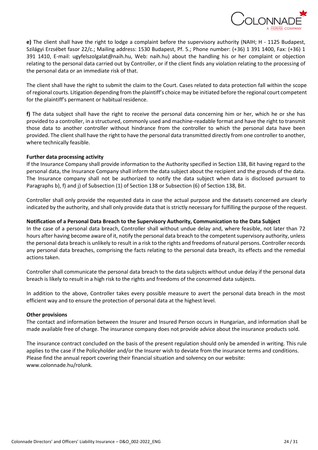

**e)** The client shall have the right to lodge a complaint before the supervisory authority (NAIH; H - 1125 Budapest, Szilágyi Erzsébet fasor 22/c.; Mailing address: 1530 Budapest, Pf. 5.; Phone number: (+36) 1 391 1400, Fax: (+36) 1 391 1410, E-mail: ugyfelszolgalat@naih.hu, Web: naih.hu) about the handling his or her complaint or objection relating to the personal data carried out by Controller, or if the client finds any violation relating to the processing of the personal data or an immediate risk of that.

The client shall have the right to submit the claim to the Court. Cases related to data protection fall within the scope of regional courts. Litigation depending from the plaintiff's choice may be initiated before the regional court competent for the plaintiff's permanent or habitual residence.

**f)** The data subject shall have the right to receive the personal data concerning him or her, which he or she has provided to a controller, in a structured, commonly used and machine-readable format and have the right to transmit those data to another controller without hindrance from the controller to which the personal data have been provided. The client shall have the right to have the personal data transmitted directly from one controller to another, where technically feasible.

#### **Further data processing activity**

If the Insurance Company shall provide information to the Authority specified in Section 138, Bit having regard to the personal data, the Insurance Company shall inform the data subject about the recipient and the grounds of the data. The Insurance company shall not be authorized to notify the data subject when data is disclosed pursuant to Paragraphs b), f) and j) of Subsection (1) of Section 138 or Subsection (6) of Section 138, Bit.

Controller shall only provide the requested data in case the actual purpose and the datasets concerned are clearly indicated by the authority, and shall only provide data that is strictly necessary for fulfilling the purpose of the request.

#### **Notification of a Personal Data Breach to the Supervisory Authority, Communication to the Data Subject**

In the case of a personal data breach, Controller shall without undue delay and, where feasible, not later than 72 hours after having become aware of it, notify the personal data breach to the competent supervisory authority, unless the personal data breach is unlikely to result in a risk to the rights and freedoms of natural persons. Controller records any personal data breaches, comprising the facts relating to the personal data breach, its effects and the remedial actions taken.

Controller shall communicate the personal data breach to the data subjects without undue delay if the personal data breach is likely to result in a high risk to the rights and freedoms of the concerned data subjects.

In addition to the above, Controller takes every possible measure to avert the personal data breach in the most efficient way and to ensure the protection of personal data at the highest level.

#### **Other provisions**

The contact and information between the Insurer and Insured Person occurs in Hungarian, and information shall be made available free of charge. The insurance company does not provide advice about the insurance products sold.

The insurance contract concluded on the basis of the present regulation should only be amended in writing. This rule applies to the case if the Policyholder and/or the Insurer wish to deviate from the insurance terms and conditions. Please find the annual report covering their financial situation and solvency on our website: www.colonnade.hu/rolunk.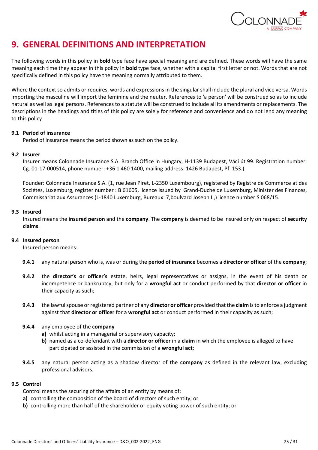

# <span id="page-24-0"></span>**9. GENERAL DEFINITIONS AND INTERPRETATION**

The following words in this policy in **bold** type face have special meaning and are defined. These words will have the same meaning each time they appear in this policy in **bold** type face, whether with a capital first letter or not. Words that are not specifically defined in this policy have the meaning normally attributed to them.

Where the context so admits or requires, words and expressions in the singular shall include the plural and vice versa. Words importing the masculine will import the feminine and the neuter. References to 'a person' will be construed so as to include natural as well as legal persons. References to a statute will be construed to include all its amendments or replacements. The descriptions in the headings and titles of this policy are solely for reference and convenience and do not lend any meaning to this policy

### **9.1 Period of insurance**

Period of insurance means the period shown as such on the policy.

#### **9.2 Insurer**

Insurer means Colonnade Insurance S.A. Branch Office in Hungary, H-1139 Budapest, Váci út 99. Registration number: Cg. 01-17-000514, phone number: +36 1 460 1400, mailing address: 1426 Budapest, Pf. 153.)

Founder: Colonnade Insurance S.A. (1, rue Jean Piret, L-2350 Luxembourg), registered by Registre de Commerce at des Sociétés, Luxemburg, register number : B 61605, licence issued by Grand-Duche de Luxemburg, Minister des Finances, Commissariat aux Assurances (L-1840 Luxemburg, Bureaux: 7,boulvard Joseph II,) licence number:S 068/15.

#### **9.3 Insured**

Insured means the **insured person** and the **company**. The **company** is deemed to be insured only on respect of **security claims**.

### **9.4 Insured person**

Insured person means:

- **9.4.1** any natural person who is, was or during the **period of insurance** becomes a **director or officer** of the **company**;
- **9.4.2** the **director's or officer's** estate, heirs, legal representatives or assigns, in the event of his death or incompetence or bankruptcy, but only for a **wrongful act** or conduct performed by that **director or officer** in their capacity as such;
- **9.4.3** the lawful spouse or registered partner of any **director or officer** provided that the **claim** is to enforce a judgment against that **director or officer** for a **wrongful act** or conduct performed in their capacity as such;

### **9.4.4** any employee of the **company**

- **a)** whilst acting in a managerial or supervisory capacity;
- **b)** named as a co-defendant with a **director or officer** in a **claim** in which the employee is alleged to have participated or assisted in the commission of a **wrongful act**;
- **9.4.5** any natural person acting as a shadow director of the **company** as defined in the relevant law, excluding professional advisors.

### **9.5 Control**

- Control means the securing of the affairs of an entity by means of:
- **a)** controlling the composition of the board of directors of such entity; or
- **b)** controlling more than half of the shareholder or equity voting power of such entity; or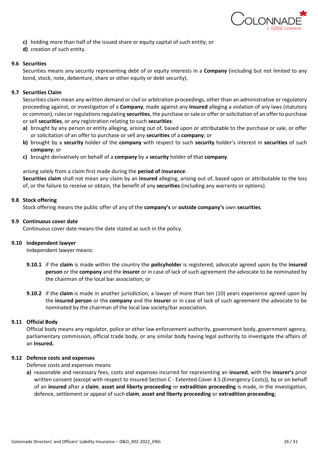

- **c)** holding more than half of the issued share or equity capital of such entity; or
- **d)** creation of such entity.

#### **9.6 Securities**

Securities means any security representing debt of or equity interests in a **Company** (including but not limited to any bond, stock, note, debenture, share or other equity or debt security).

#### **9.7 Securities Claim**

Securities claim mean any written demand or civil or arbitration proceedings, other than an administrative or regulatory proceeding against, or investigation of a **Company**, made against any **Insured** alleging a violation of any laws (statutory or common), rules or regulations regulating **securities**, the purchase or sale or offer or solicitation of an offer to purchase or sell **securities**, or any registration relating to such **securities**:

- **a)** brought by any person or entity alleging, arising out of, based upon or attributable to the purchase or sale, or offer or solicitation of an offer to purchase or sell any **securities** of a **company**; or
- **b)** brought by a **security** holder of the **company** with respect to such **security** holder's interest in **securities** of such **company**; or
- **c)** brought derivatively on behalf of a **company** by a **security** holder of that **company**.

arising solely from a claim first made during the **period of insurance**:

**Securities claim** shall not mean any claim by an **insured** alleging, arising out of, based upon or attributable to the loss of, or the failure to receive or obtain, the benefit of any **securities** (including any warrants or options).

#### **9.8 Stock offering**

Stock offering means the public offer of any of the **company's** or **outside company's** own **securities**.

#### **9.9 Continuous cover date**

Continuous cover date means the date stated as such in the policy.

#### **9.10 Independent lawyer**

Independent lawyer means:

- **9.10.1** if the **claim** is made within the country the **policyholder** is registered, advocate agreed upon by the **insured person** or the **company** and the **insurer** or in case of lack of such agreement the advocate to be nominated by the chairman of the local bar association; or
- **9.10.2** if the **claim** is made in another jurisdiction, a lawyer of more than ten (10) years experience agreed upon by the **insured person** or the **company** and the **insurer** or in case of lack of such agreement the advocate to be nominated by the chairman of the local law society/bar association.

#### **9.11 Official Body**

Official body means any regulator, police or other law enforcement authority, government body, government agency, parliamentary commission, official trade body, or any similar body having legal authority to investigate the affairs of an **Insured.**

#### **9.12 Defence costs and expenses**

Defence costs and expenses means

**a)** reasonable and necessary fees, costs and expenses incurred for representing an **insured**, with the **insurer's** prior written consent (except with respect to Insured Section C - Extented Cover 4.5 (Emergency Costs)), by or on behalf of an **insured** after a **claim**, **asset and liberty proceeding** or **extradition proceeding** is made, in the investigation, defence, settlement or appeal of such **claim**, **asset and liberty proceeding** or **extradition proceeding**;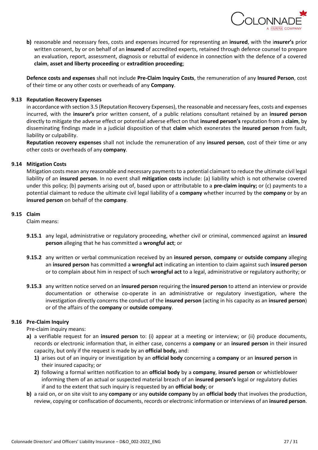

**b)** reasonable and necessary fees, costs and expenses incurred for representing an **insured**, with the i**nsurer's** prior written consent, by or on behalf of an **insured** of accredited experts, retained through defence counsel to prepare an evaluation, report, assessment, diagnosis or rebuttal of evidence in connection with the defence of a covered **claim**, **asset and liberty proceeding** or **extradition proceeding**;

**Defence costs and expenses** shall not include **Pre-Claim Inquiry Costs**, the remuneration of any **Insured Person**, cost of their time or any other costs or overheads of any **Company**.

# **9.13 Reputation Recovery Expenses**

in accordance with section 3.5 (Reputation Recovery Expenses), the reasonable and necessary fees, costs and expenses incurred, with the **insurer's** prior written consent, of a public relations consultant retained by an **insured person**  directly to mitigate the adverse effect or potential adverse effect on that **insured person's** reputation from a **claim**, by disseminating findings made in a judicial disposition of that **claim** which exonerates the **insured person** from fault, liability or culpability.

**Reputation recovery expenses** shall not include the remuneration of any **insured person**, cost of their time or any other costs or overheads of any **company**.

### **9.14 Mitigation Costs**

Mitigation costs mean any reasonable and necessary payments to a potential claimant to reduce the ultimate civil legal liability of an **insured person**. In no event shall **mitigation costs** include: (a) liability which is not otherwise covered under this policy; (b) payments arising out of, based upon or attributable to a **pre-claim inquiry;** or (c) payments to a potential claimant to reduce the ultimate civil legal liability of a **company** whether incurred by the **company** or by an **insured person** on behalf of the **company**.

#### **9.15 Claim**

Claim means:

- **9.15.1** any legal, administrative or regulatory proceeding, whether civil or criminal, commenced against an **insured person** alleging that he has committed a **wrongful act**; or
- **9.15.2** any written or verbal communication received by an **insured person**, **company** or **outside company** alleging an **insured person** has committed a **wrongful act** indicating an intention to claim against such **insured person**  or to complain about him in respect of such **wrongful act** to a legal, administrative or regulatory authority; or
- **9.15.3** any written notice served on an **insured person** requiring the **insured person** to attend an interview or provide documentation or otherwise co-operate in an administrative or regulatory investigation, where the investigation directly concerns the conduct of the **insured person** (acting in his capacity as an **insured person**) or of the affairs of the **company** or **outside company**.

### **9.16 Pre-Claim Inquiry**

Pre-claim inquiry means:

- **a)** a verifiable request for an **insured person** to: (i) appear at a meeting or interview; or (ii) produce documents, records or electronic information that, in either case, concerns a **company** or an **insured person** in their insured capacity, but only if the request is made by an **official body,** and:
	- **1)** arises out of an inquiry or investigation by an **official body** concerning a **company** or an **insured person** in their insured capacity; or
	- **2)** following a formal written notification to an **official body** by a **company**, **insured person** or whistleblower informing them of an actual or suspected material breach of an **insured person's** legal or regulatory duties if and to the extent that such inquiry is requested by an **official body**; or
- **b)** a raid on, or on site visit to any **company** or any **outside company** by an **official body** that involves the production, review, copying or confiscation of documents, records or electronic information or interviews of an **insured person**.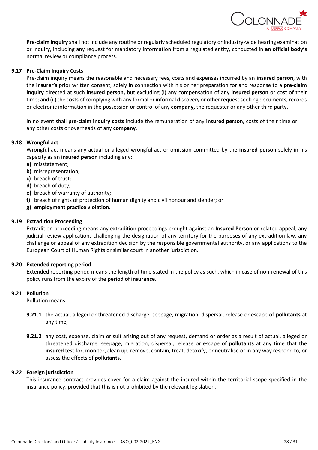

**Pre-claim inquiry** shall not include any routine or regularly scheduled regulatory or industry-wide hearing examination or inquiry, including any request for mandatory information from a regulated entity, conducted in **an official body's** normal review or compliance process.

## **9.17 Pre-Claim Inquiry Costs**

Pre-claim inquiry means the reasonable and necessary fees, costs and expenses incurred by an **insured person**, with the **insurer's** prior written consent, solely in connection with his or her preparation for and response to a **pre-claim inquiry** directed at such **insured person,** but excluding (i) any compensation of any **insured person** or cost of their time; and (ii) the costs of complying with any formal or informal discovery or other request seeking documents, records or electronic information in the possession or control of any **company,** the requester or any other third party.

In no event shall **pre-claim inquiry costs** include the remuneration of any **insured person**, costs of their time or any other costs or overheads of any **company**.

### **9.18 Wrongful act**

Wrongful act means any actual or alleged wrongful act or omission committed by the **insured person** solely in his capacity as an **insured person** including any:

- **a)** misstatement;
- **b)** misrepresentation;
- **c)** breach of trust;
- **d)** breach of duty;
- **e)** breach of warranty of authority;
- **f)** breach of rights of protection of human dignity and civil honour and slender; or
- **g) employment practice violation**.

#### **9.19 Extradition Proceeding**

Extradition proceeding means any extradition proceedings brought against an **Insured Person** or related appeal, any judicial review applications challenging the designation of any territory for the purposes of any extradition law, any challenge or appeal of any extradition decision by the responsible governmental authority, or any applications to the European Court of Human Rights or similar court in another jurisdiction.

### **9.20 Extended reporting period**

Extended reporting period means the length of time stated in the policy as such, which in case of non-renewal of this policy runs from the expiry of the **period of insurance**.

#### **9.21 Pollution**

Pollution means:

- **9.21.1** the actual, alleged or threatened discharge, seepage, migration, dispersal, release or escape of **pollutants** at any time;
- **9.21.2** any cost, expense, claim or suit arising out of any request, demand or order as a result of actual, alleged or threatened discharge, seepage, migration, dispersal, release or escape of **pollutants** at any time that the **insured** test for, monitor, clean up, remove, contain, treat, detoxify, or neutralise or in any way respond to, or assess the effects of **pollutants.**

#### **9.22 Foreign jurisdiction**

This insurance contract provides cover for a claim against the insured within the territorial scope specified in the insurance policy, provided that this is not prohibited by the relevant legislation.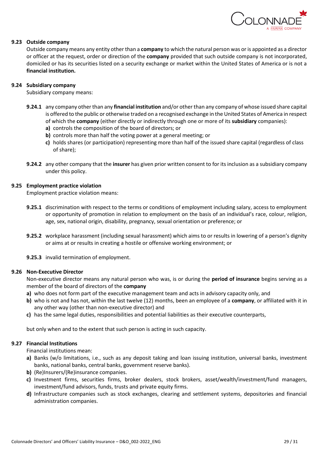

#### **9.23 Outside company**

Outside company means any entity other than a **company** to which the natural person was or is appointed as a director or officer at the request, order or direction of the **company** provided that such outside company is not incorporated, domiciled or has its securities listed on a security exchange or market within the United States of America or is not a **financial institution.**

#### **9.24 Subsidiary company**

Subsidiary company means:

- **9.24.1** any company other than any **financial institution** and/or other than any company of whose issued share capital is offered to the public or otherwise traded on a recognised exchange in the United States of America in respect of which the **company** (either directly or indirectly through one or more of its **subsidiary** companies):
	- **a)** controls the composition of the board of directors; or
	- **b)** controls more than half the voting power at a general meeting; or
	- **c)** holds shares (or participation) representing more than half of the issued share capital (regardless of class of share);
- **9.24.2** any other company that the **insurer** has given prior written consent to for its inclusion as a subsidiary company under this policy.

#### **9.25 Employment practice violation**

Employment practice violation means:

- **9.25.1** discrimination with respect to the terms or conditions of employment including salary, access to employment or opportunity of promotion in relation to employment on the basis of an individual's race, colour, religion, age, sex, national origin, disability, pregnancy, sexual orientation or preference; or
- **9.25.2** workplace harassment (including sexual harassment) which aims to or results in lowering of a person's dignity or aims at or results in creating a hostile or offensive working environment; or
- **9.25.3** invalid termination of employment.

#### **9.26 Non-Executive Director**

Non-executive director means any natural person who was, is or during the **period of insurance** begins serving as a member of the board of directors of the **company** 

- **a)** who does not form part of the executive management team and acts in advisory capacity only, and
- **b)** who is not and has not, within the last twelve (12) months, been an employee of a **company**, or affiliated with it in any other way (other than non-executive director) and
- **c)** has the same legal duties, responsibilities and potential liabilities as their executive counterparts,

but only when and to the extent that such person is acting in such capacity.

### **9.27 Financial Institutions**

Financial institutions mean:

- **a)** Banks (w/o limitations, i.e., such as any deposit taking and loan issuing institution, universal banks, investment banks, national banks, central banks, government reserve banks).
- **b)** (Re)Insurers/(Re)insurance companies.
- **c)** Investment firms, securities firms, broker dealers, stock brokers, asset/wealth/investment/fund managers, investment/fund advisors, funds, trusts and private equity firms.
- **d)** Infrastructure companies such as stock exchanges, clearing and settlement systems, depositories and financial administration companies.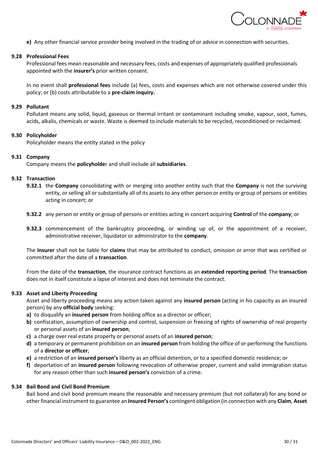

**e)** Any other financial service provider being involved in the trading of or advice in connection with securities.

#### **9.28 Professional Fees**

Professional fees mean reasonable and necessary fees, costs and expenses of appropriately qualified professionals appointed with the **insurer's** prior written consent.

In no event shall **professional fees** include (a) fees, costs and expenses which are not otherwise covered under this policy; or (b) costs attributable to a **pre-claim inquiry.**

#### **9.29 Pollutant**

Pollutant means any solid, liquid, gaseous or thermal irritant or contaminant including smoke, vapour, soot, fumes, acids, alkalis, chemicals or waste. Waste is deemed to include materials to be recycled, reconditioned or reclaimed.

#### **9.30 Policyholder**

Policyholder means the entity stated in the policy

#### **9.31 Company**

Company means the **policyholde**r and shall include all **subsidiaries**.

#### **9.32 Transaction**

- **9.32.1** the **Company** consolidating with or merging into another entity such that the **Company** is not the surviving entity, or selling all or substantially all of its assets to any other person or entity or group of persons or entities acting in concert; or
- **9.32.2** any person or entity or group of persons or entities acting in concert acquiring **Control** of the **company**; or
- **9.32.3** commencement of the bankruptcy proceeding, or winding up of, or the appointment of a receiver, administrative receiver, liquidator or administrator to the **company**.

The **Insurer** shall not be liable for **claims** that may be attributed to conduct, omission or error that was certified or committed after the date of a **transaction**.

From the date of the **transaction**, the insurance contract functions as an **extended reporting period**. The **transaction** does not in itself constitute a lapse of interest and does not terminate the contract.

#### **9.33 Asset and Liberty Proceeding**

Asset and liberty proceeding means any action taken against any **insured person** (acting in his capacity as an insured person) by any **official body** seeking:

- **a)** to disqualify an **insured person** from holding office as a director or officer;
- **b)** confiscation, assumption of ownership and control, suspension or freezing of rights of ownership of real property or personal assets of an **insured person**;
- **c)** a charge over real estate property or personal assets of an **insured person**;
- **d)** a temporary or permanent prohibition on an **insured person** from holding the office of or performing the functions of a **director or officer**;
- **e)** a restriction of an **insured person's** liberty as an official detention, or to a specified domestic residence; or
- **f)** deportation of an **insured person** following revocation of otherwise proper, current and valid immigration status for any reason other than such **insured person's** conviction of a crime.

#### **9.34 Bail Bond and Civil Bond Premium**

Bail bond and civil bond premium means the reasonable and necessary premium (but not collateral) for any bond or other financial instrument to guarantee an **Insured Person's** contingent obligation (in connection with any **Claim**, **Asset**